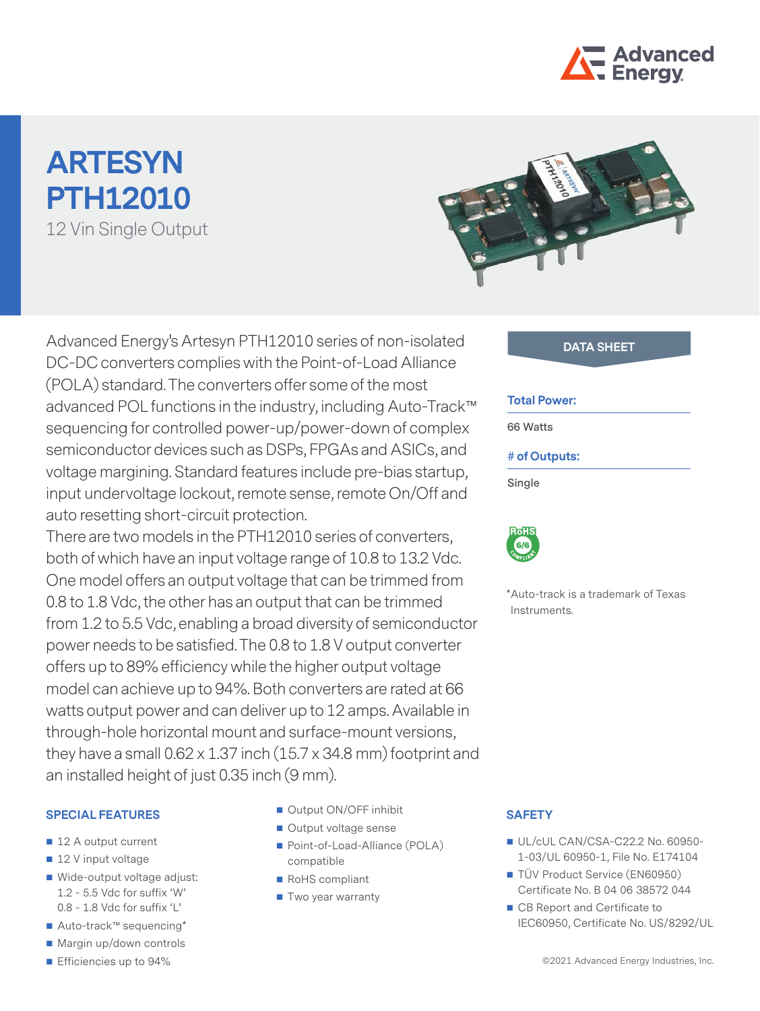

# **ARTESYN PTH12010** 12 Vin Single Output



Advanced Energy's Artesyn PTH12010 series of non-isolated **DATA SHEET** DC-DC converters complies with the Point-of-Load Alliance (POLA) standard. The converters offer some of the most advanced POL functions in the industry, including Auto-Track™ sequencing for controlled power-up/power-down of complex semiconductor devices such as DSPs, FPGAs and ASICs, and voltage margining. Standard features include pre-bias startup, input undervoltage lockout, remote sense, remote On/Off and auto resetting short-circuit protection.

There are two models in the PTH12010 series of converters, both of which have an input voltage range of 10.8 to 13.2 Vdc. One model offers an output voltage that can be trimmed from 0.8 to 1.8 Vdc, the other has an output that can be trimmed from 1.2 to 5.5 Vdc, enabling a broad diversity of semiconductor power needs to be satisfied. The 0.8 to 1.8 V output converter offers up to 89% efficiency while the higher output voltage model can achieve up to 94%. Both converters are rated at 66 watts output power and can deliver up to 12 amps. Available in through-hole horizontal mount and surface-mount versions, they have a small  $0.62 \times 1.37$  inch  $(15.7 \times 34.8 \text{ mm})$  footprint and an installed height of just 0.35 inch (9 mm).

#### **SPECIAL FEATURES**

- 12 A output current
- 12 V input voltage
- Wide-output voltage adjust: 1.2 - 5.5 Vdc for suffix 'W' 0.8 - 1.8 Vdc for suffix 'L'
- Auto-track™ sequencing\*
- Margin up/down controls
- **E** Efficiencies up to 94%
- Output ON/OFF inhibit
- Output voltage sense
- Point-of-Load-Alliance (POLA) compatible
- RoHS compliant
- Two year warranty

#### **Total Power:**

**66 Watts**

#### **# of Outputs:**

**Single**



\*Auto-track is a trademark of Texas Instruments.

#### **SAFETY**

- UL/cUL CAN/CSA-C22.2 No. 60950-1-03/UL 60950-1, File No. E174104
- TÜV Product Service (EN60950) Certificate No. B 04 06 38572 044
- CB Report and Certificate to IEC60950, Certificate No. US/8292/UL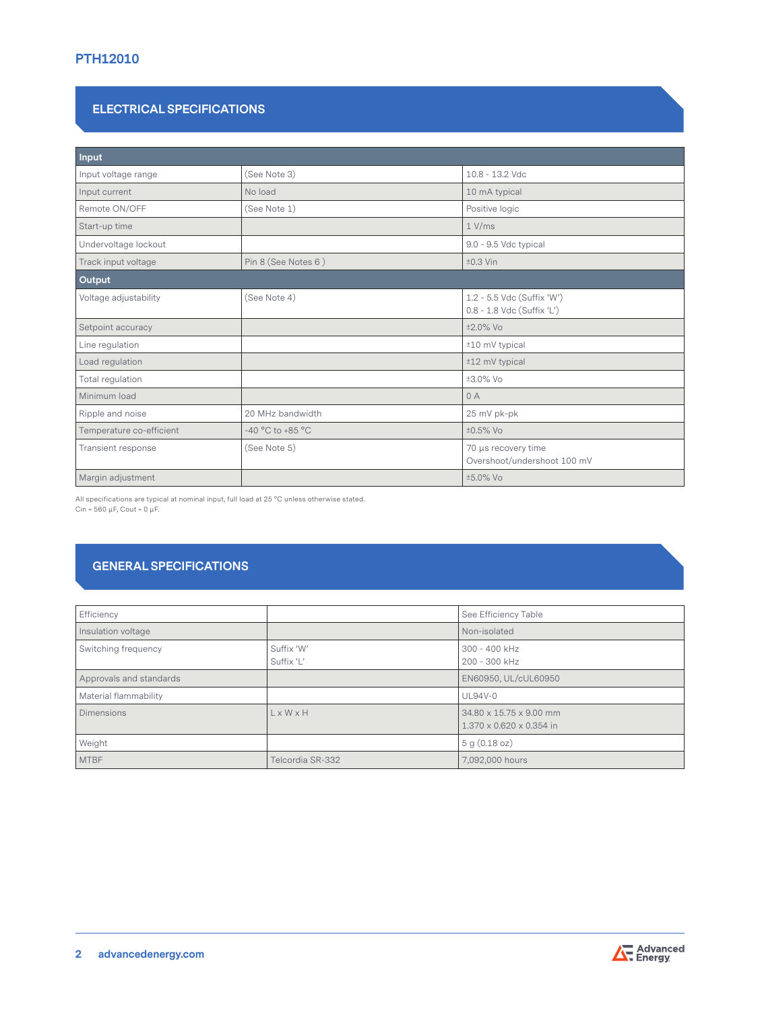### **ELECTRICAL SPECIFICATIONS**

| Input                    |                      |                                                          |  |  |
|--------------------------|----------------------|----------------------------------------------------------|--|--|
| Input voltage range      | (See Note 3)         | 10.8 - 13.2 Vdc                                          |  |  |
| Input current            | No load              | 10 mA typical                                            |  |  |
| Remote ON/OFF            | (See Note 1)         | Positive logic                                           |  |  |
| Start-up time            |                      | $1$ V/ms                                                 |  |  |
| Undervoltage lockout     |                      | 9.0 - 9.5 Vdc typical                                    |  |  |
| Track input voltage      | Pin 8 (See Notes 6)  | $±0.3$ Vin                                               |  |  |
| Output                   |                      |                                                          |  |  |
| Voltage adjustability    | (See Note 4)         | 1.2 - 5.5 Vdc (Suffix 'W')<br>0.8 - 1.8 Vdc (Suffix 'L') |  |  |
| Setpoint accuracy        |                      | ±2.0% Vo                                                 |  |  |
| Line regulation          |                      | ±10 mV typical                                           |  |  |
| Load regulation          |                      | ±12 mV typical                                           |  |  |
| Total regulation         |                      | ±3.0% Vo                                                 |  |  |
| Minimum load             |                      | 0A                                                       |  |  |
| Ripple and noise         | 20 MHz bandwidth     | 25 mV pk-pk                                              |  |  |
| Temperature co-efficient | $-40 °C$ to $+85 °C$ | ±0.5% Vo                                                 |  |  |
| Transient response       | (See Note 5)         | 70 µs recovery time<br>Overshoot/undershoot 100 mV       |  |  |
| Margin adjustment        |                      | ±5.0% Vo                                                 |  |  |

All specifications are typical at nominal input, full load at 25 °C unless otherwise stated.

Cin =  $560 \mu$ F, Cout =  $0 \mu$ F.

# **GENERAL SPECIFICATIONS**

| Efficiency              |                          | See Efficiency Table                                |
|-------------------------|--------------------------|-----------------------------------------------------|
| Insulation voltage      |                          | Non-isolated                                        |
| Switching frequency     | Suffix 'W'<br>Suffix 'L' | 300 - 400 kHz<br>200 - 300 kHz                      |
| Approvals and standards |                          | EN60950, UL/cUL60950                                |
| Material flammability   |                          | <b>UL94V-0</b>                                      |
| <b>Dimensions</b>       | $L \times W \times H$    | 34.80 x 15.75 x 9.00 mm<br>1.370 x 0.620 x 0.354 in |
| Weight                  |                          | 5 g (0.18 oz)                                       |
| <b>MTBF</b>             | Telcordia SR-332         | 7,092,000 hours                                     |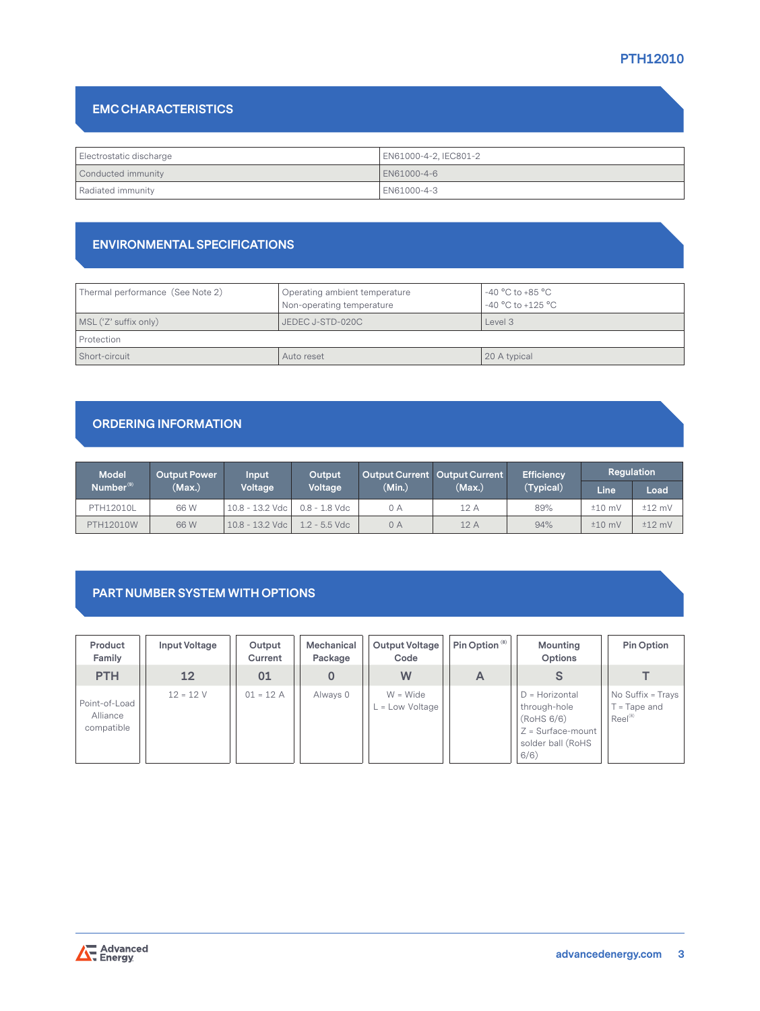# **EMC CHARACTERISTICS**

| Electrostatic discharge | EN61000-4-2, IEC801-2 |  |  |
|-------------------------|-----------------------|--|--|
| Conducted immunity      | LEN61000-4-6          |  |  |
| Radiated immunity       | EN61000-4-3           |  |  |

### **ENVIRONMENTAL SPECIFICATIONS**

| Thermal performance (See Note 2) | Operating ambient temperature<br>Non-operating temperature | -40 $^{\circ}$ C to +85 $^{\circ}$ C<br>-40 $^{\circ}$ C to +125 $^{\circ}$ C |  |
|----------------------------------|------------------------------------------------------------|-------------------------------------------------------------------------------|--|
| MSL ('Z' suffix only)            | JEDEC J-STD-020C                                           | Level 3                                                                       |  |
| Protection                       |                                                            |                                                                               |  |
| Short-circuit                    | Auto reset                                                 | 20 A typical                                                                  |  |

# **ORDERING INFORMATION**

| <b>Model</b>          | <b>Output Power</b> | <b>Input</b>      | Output          |        | Output Current   Output Current | <b>Efficiency</b> | Regulation        |          |
|-----------------------|---------------------|-------------------|-----------------|--------|---------------------------------|-------------------|-------------------|----------|
| Number <sup>(9)</sup> | (Max.)              | Voltage           | Voltage         | (Min.) | (Max.)                          | (Typical)         | Line <sup>®</sup> | Load     |
| PTH12010L             | 66 W                | $10.8 - 13.2$ Vdc | $0.8 - 1.8$ Vdc | 0 A    | 12 A                            | 89%               | $±10$ mV          | $±12$ mV |
| PTH12010W             | 66 W                | 10.8 - 13.2 Vdc   | $1.2$ - 5.5 Vdc | 0 A    | 12 A                            | 94%               | $±10$ mV          | $±12$ mV |

# **PART NUMBER SYSTEM WITH OPTIONS**

| Product<br>Family                       | Input Voltage | Output<br>Current | Mechanical<br>Package | Output Voltage<br>Code        | Pin Option <sup>(8)</sup> | Mounting<br>Options                                                                                 | Pin Option                                                 |
|-----------------------------------------|---------------|-------------------|-----------------------|-------------------------------|---------------------------|-----------------------------------------------------------------------------------------------------|------------------------------------------------------------|
| <b>PTH</b>                              | 12            | 01                |                       | W                             | A                         |                                                                                                     |                                                            |
| Point-of-Load<br>Alliance<br>compatible | $12 = 12 V$   | $01 = 12 A$       | Always 0              | $W = Wide$<br>. = Low Voltage |                           | $D =$ Horizontal<br>through-hole<br>(RoHS 6/6)<br>$Z = Surface$ -mount<br>solder ball (RoHS<br>6/6) | No Suffix = Trays<br>$T = \text{Tape}$ and<br>$Reel^{(8)}$ |

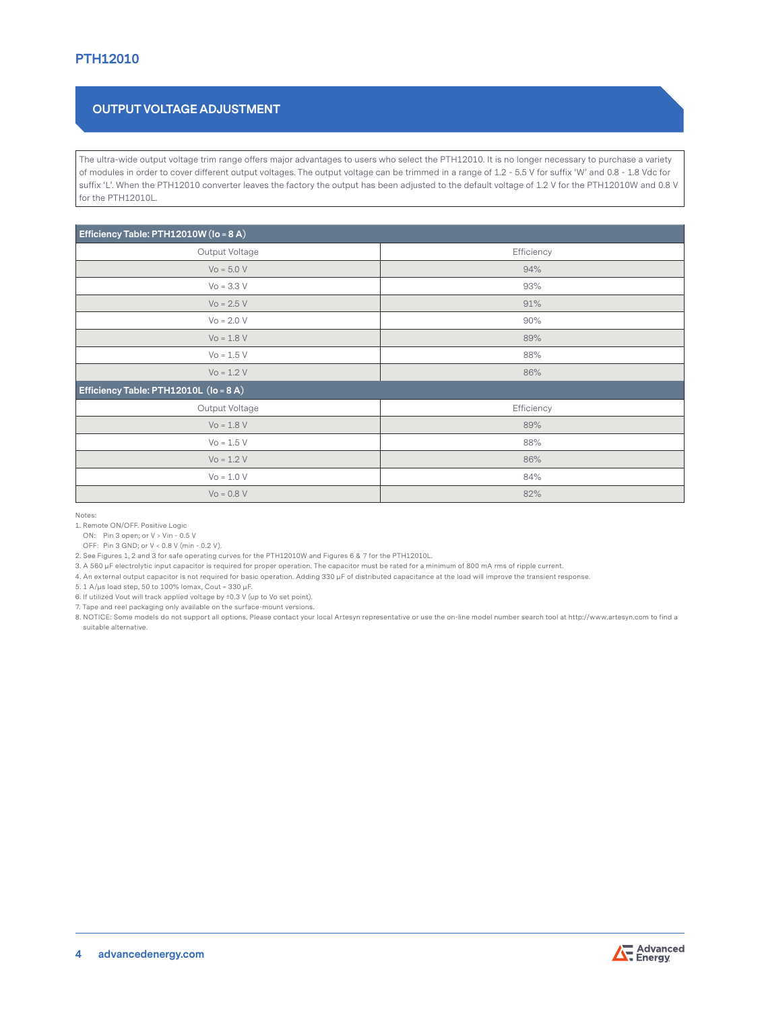# **OUTPUT VOLTAGE ADJUSTMENT**

The ultra-wide output voltage trim range offers major advantages to users who select the PTH12010. It is no longer necessary to purchase a variety of modules in order to cover different output voltages. The output voltage can be trimmed in a range of 1.2 - 5.5 V for suffix 'W' and 0.8 - 1.8 Vdc for suffix 'L'. When the PTH12010 converter leaves the factory the output has been adjusted to the default voltage of 1.2 V for the PTH12010W and 0.8 V for the PTH12010L.

| Efficiency Table: PTH12010W (lo = 8 A) |            |  |  |  |
|----------------------------------------|------------|--|--|--|
| Output Voltage                         | Efficiency |  |  |  |
| $Vo = 5.0 V$                           | 94%        |  |  |  |
| $Vo = 3.3 V$                           | 93%        |  |  |  |
| $Vo = 2.5 V$                           | 91%        |  |  |  |
| $Vo = 2.0 V$                           | 90%        |  |  |  |
| $Vo = 1.8 V$                           | 89%        |  |  |  |
| $Vo = 1.5 V$                           | 88%        |  |  |  |
| $Vo = 1.2 V$                           | 86%        |  |  |  |
| Efficiency Table: PTH12010L (lo = 8 A) |            |  |  |  |
| Output Voltage                         | Efficiency |  |  |  |
| $Vo = 1.8 V$                           | 89%        |  |  |  |
| $Vo = 1.5 V$                           | 88%        |  |  |  |
| $Vo = 1.2 V$                           | 86%        |  |  |  |
| $Vo = 1.0 V$                           | 84%        |  |  |  |
| $Vo = 0.8 V$                           | 82%        |  |  |  |

Notes:

1. Remote ON/OFF. Positive Logic

ON: Pin 3 open; or V > Vin - 0.5 V

OFF: Pin 3 GND; or V < 0.8 V (min - 0.2 V).

2. See Figures 1, 2 and 3 for safe operating curves for the PTH12010W and Figures 6 & 7 for the PTH12010L.

3. A 560 μF electrolytic input capacitor is required for proper operation. The capacitor must be rated for a minimum of 800 mA rms of ripple current.

4. An external output capacitor is not required for basic operation. Adding 330 μF of distributed capacitance at the load will improve the transient response.

5. 1 A/μs load step, 50 to 100% Iomax, Cout = 330 μF.

6. If utilized Vout will track applied voltage by ±0.3 V (up to Vo set point).

7. Tape and reel packaging only available on the surface-mount versions.

8. NOTICE: Some models do not support all options. Please contact your local Artesyn representative or use the on-line model number search tool at http://www.artesyn.com to find a suitable alternative.

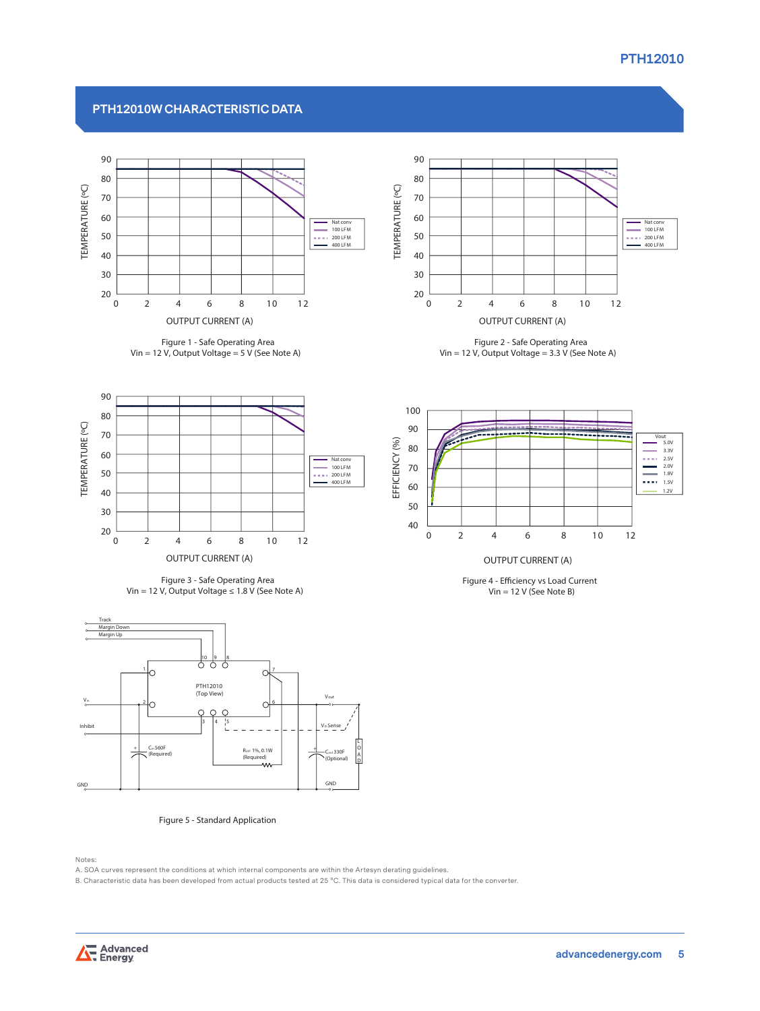#### **PTH12010W CHARACTERISTIC DATA**



**Figure 1 - Safe Operating Area Vin = 12 V, Output Voltage = 5 V (See Note A)**



**Figure 2 - Safe Operating Area Vin = 12 V, Output Voltage = 3.3 V (See Note A)**



**Figure 3 - Safe Operating Area Vin = 12 V, Output Voltage ≤ 1.8 V (See Note A)**



#### **Figure 5 - Standard Application**

Notes:

A. SOA curves represent the conditions at which internal components are within the Artesyn derating guidelines.<br>B. Characteristic data has been developed from actual products tested at 25 °C. This data is considered typica





**Figure 4 - Eciency vs Load Current Vin = 12 V (See Note B)**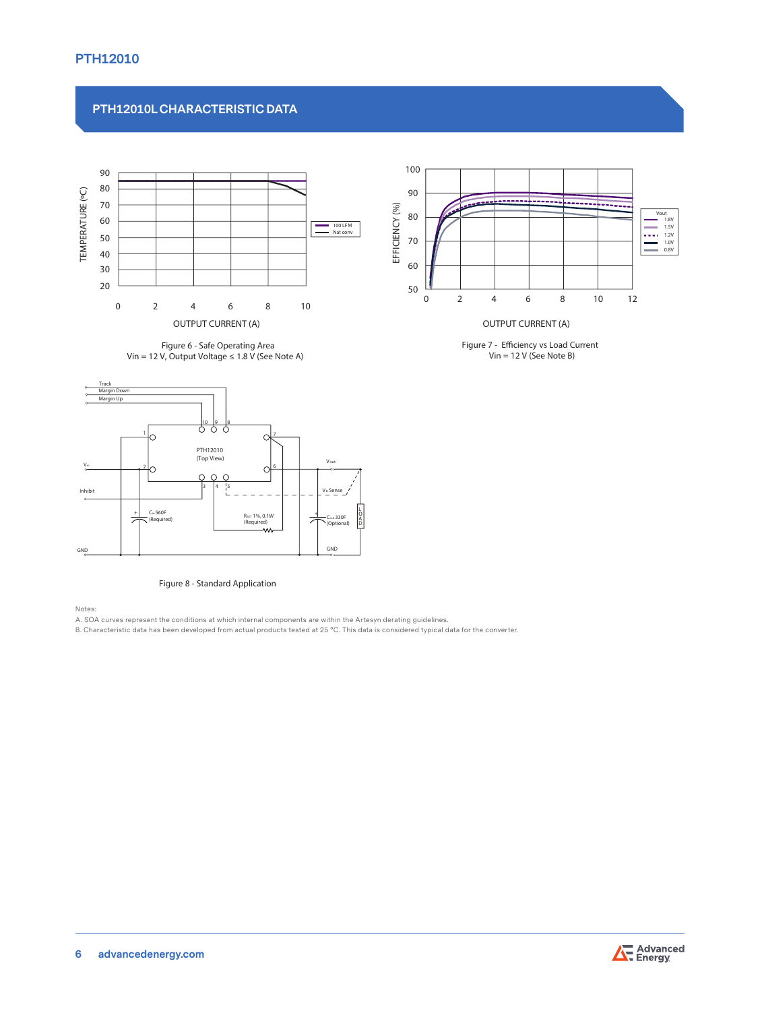# **PTH12010L CHARACTERISTIC DATA**



**Figure 6 - Safe Operating Area Vin = 12 V, Output Voltage ≤ 1.8 V (See Note A)**



#### **Figure 8 - Standard Application**

Notes:

A. SOA curves represent the conditions at which internal components are within the Artesyn derating guidelines.<br>B. Characteristic data has been developed from actual products tested at 25 °C. This data is considered typica



**Figure 7 - Eciency vs Load Current Vin = 12 V (See Note B)**

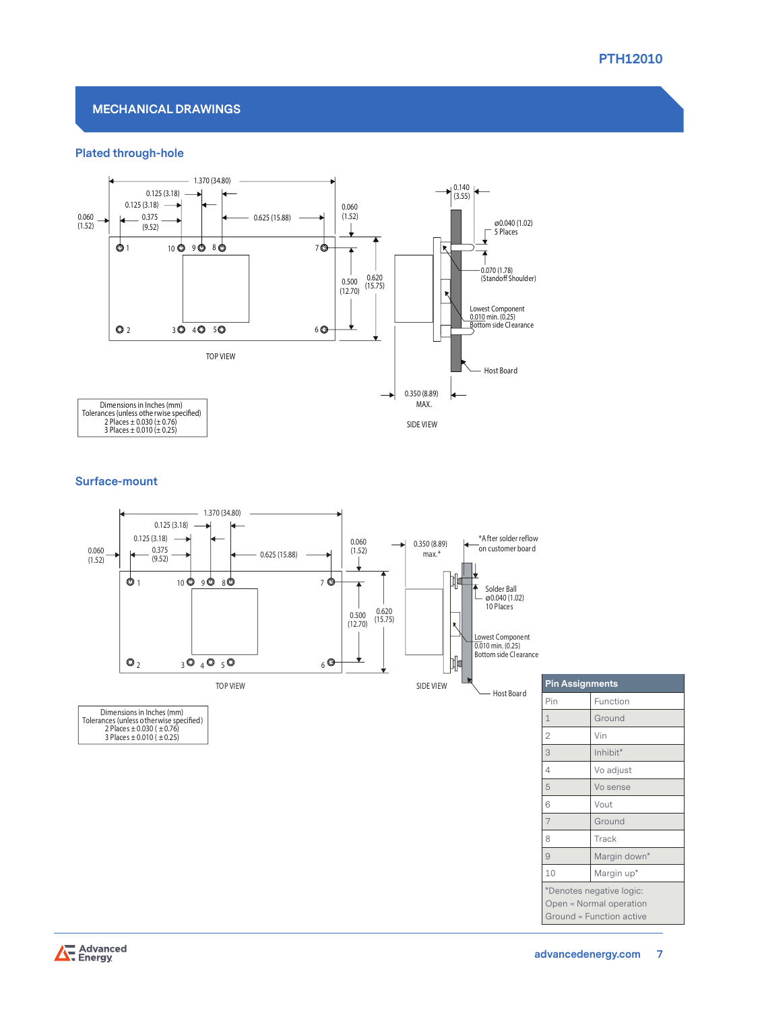

#### **MECHANICAL DRAWINGS**

#### **Plated through-hole**



#### **Surface-mount**



| <b>Pin Assignments</b>   |              |  |  |  |
|--------------------------|--------------|--|--|--|
| Pin                      | Function     |  |  |  |
| $\mathbf{1}$             | Ground       |  |  |  |
| $\overline{2}$           | Vin          |  |  |  |
| 3                        | Inhibit*     |  |  |  |
| 4                        | Vo adjust    |  |  |  |
| 5                        | Vo sense     |  |  |  |
| 6                        | Vout         |  |  |  |
| $\overline{7}$           | Ground       |  |  |  |
| 8                        | Track        |  |  |  |
| 9                        | Margin down* |  |  |  |
| 10                       | Margin up*   |  |  |  |
| *Denotes negative logic: |              |  |  |  |
| Open = Normal operation  |              |  |  |  |
| Ground = Function active |              |  |  |  |